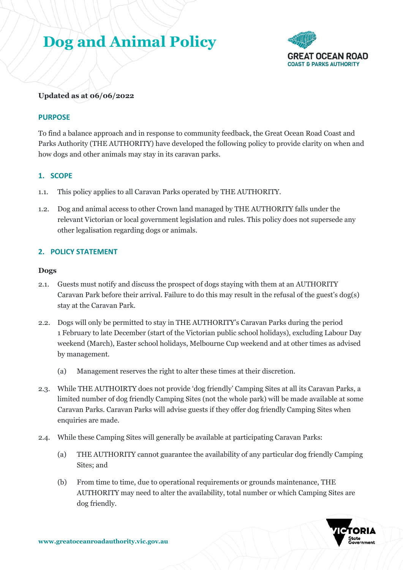# **Dog and Animal Policy**



# **Updated as at 06/06/2022**

# **PURPOSE**

To find a balance approach and in response to community feedback, the Great Ocean Road Coast and Parks Authority (THE AUTHORITY) have developed the following policy to provide clarity on when and how dogs and other animals may stay in its caravan parks.

# **1. SCOPE**

- 1.1. This policy applies to all Caravan Parks operated by THE AUTHORITY.
- 1.2. Dog and animal access to other Crown land managed by THE AUTHORITY falls under the relevant Victorian or local government legislation and rules. This policy does not supersede any other legalisation regarding dogs or animals.

# **2. POLICY STATEMENT**

## **Dogs**

- 2.1. Guests must notify and discuss the prospect of dogs staying with them at an AUTHORITY Caravan Park before their arrival. Failure to do this may result in the refusal of the guest's dog(s) stay at the Caravan Park.
- 2.2. Dogs will only be permitted to stay in THE AUTHORITY's Caravan Parks during the period 1 February to late December (start of the Victorian public school holidays), excluding Labour Day weekend (March), Easter school holidays, Melbourne Cup weekend and at other times as advised by management.
	- (a) Management reserves the right to alter these times at their discretion.
- 2.3. While THE AUTHOIRTY does not provide 'dog friendly' Camping Sites at all its Caravan Parks, a limited number of dog friendly Camping Sites (not the whole park) will be made available at some Caravan Parks. Caravan Parks will advise guests if they offer dog friendly Camping Sites when enquiries are made.
- 2.4. While these Camping Sites will generally be available at participating Caravan Parks:
	- (a) THE AUTHORITY cannot guarantee the availability of any particular dog friendly Camping Sites; and
	- (b) From time to time, due to operational requirements or grounds maintenance, THE AUTHORITY may need to alter the availability, total number or which Camping Sites are dog friendly.

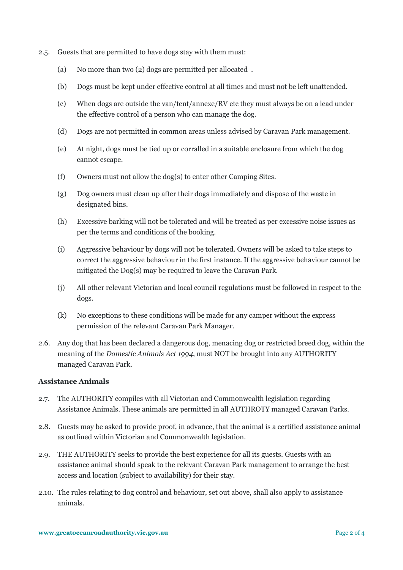- 2.5. Guests that are permitted to have dogs stay with them must:
	- (a) No more than two (2) dogs are permitted per allocated .
	- (b) Dogs must be kept under effective control at all times and must not be left unattended.
	- (c) When dogs are outside the van/tent/annexe/RV etc they must always be on a lead under the effective control of a person who can manage the dog.
	- (d) Dogs are not permitted in common areas unless advised by Caravan Park management.
	- (e) At night, dogs must be tied up or corralled in a suitable enclosure from which the dog cannot escape.
	- (f) Owners must not allow the dog(s) to enter other Camping Sites.
	- (g) Dog owners must clean up after their dogs immediately and dispose of the waste in designated bins.
	- (h) Excessive barking will not be tolerated and will be treated as per excessive noise issues as per the terms and conditions of the booking.
	- (i) Aggressive behaviour by dogs will not be tolerated. Owners will be asked to take steps to correct the aggressive behaviour in the first instance. If the aggressive behaviour cannot be mitigated the Dog(s) may be required to leave the Caravan Park.
	- (j) All other relevant Victorian and local council regulations must be followed in respect to the dogs.
	- (k) No exceptions to these conditions will be made for any camper without the express permission of the relevant Caravan Park Manager.
- 2.6. Any dog that has been declared a dangerous dog, menacing dog or restricted breed dog, within the meaning of the *Domestic Animals Act 1994*, must NOT be brought into any AUTHORITY managed Caravan Park.

#### **Assistance Animals**

- 2.7. The AUTHORITY compiles with all Victorian and Commonwealth legislation regarding Assistance Animals. These animals are permitted in all AUTHROTY managed Caravan Parks.
- 2.8. Guests may be asked to provide proof, in advance, that the animal is a certified assistance animal as outlined within Victorian and Commonwealth legislation.
- 2.9. THE AUTHORITY seeks to provide the best experience for all its guests. Guests with an assistance animal should speak to the relevant Caravan Park management to arrange the best access and location (subject to availability) for their stay.
- 2.10. The rules relating to dog control and behaviour, set out above, shall also apply to assistance animals.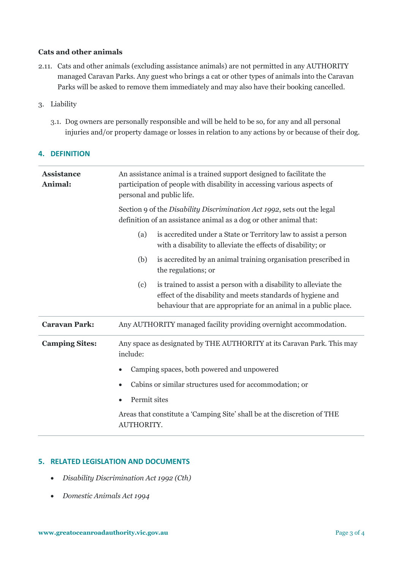## **Cats and other animals**

2.11. Cats and other animals (excluding assistance animals) are not permitted in any AUTHORITY managed Caravan Parks. Any guest who brings a cat or other types of animals into the Caravan Parks will be asked to remove them immediately and may also have their booking cancelled.

#### 3. Liability

3.1. Dog owners are personally responsible and will be held to be so, for any and all personal injuries and/or property damage or losses in relation to any actions by or because of their dog.

## **4. DEFINITION**

| <b>Assistance</b><br>Animal: | An assistance animal is a trained support designed to facilitate the<br>participation of people with disability in accessing various aspects of<br>personal and public life.                              |  |  |
|------------------------------|-----------------------------------------------------------------------------------------------------------------------------------------------------------------------------------------------------------|--|--|
|                              | Section 9 of the Disability Discrimination Act 1992, sets out the legal<br>definition of an assistance animal as a dog or other animal that:                                                              |  |  |
|                              | is accredited under a State or Territory law to assist a person<br>(a)<br>with a disability to alleviate the effects of disability; or                                                                    |  |  |
|                              | is accredited by an animal training organisation prescribed in<br>(b)<br>the regulations; or                                                                                                              |  |  |
|                              | (c)<br>is trained to assist a person with a disability to alleviate the<br>effect of the disability and meets standards of hygiene and<br>behaviour that are appropriate for an animal in a public place. |  |  |
| <b>Caravan Park:</b>         | Any AUTHORITY managed facility providing overnight accommodation.                                                                                                                                         |  |  |
| <b>Camping Sites:</b>        | Any space as designated by THE AUTHORITY at its Caravan Park. This may<br>include:                                                                                                                        |  |  |
|                              | Camping spaces, both powered and unpowered                                                                                                                                                                |  |  |
|                              | Cabins or similar structures used for accommodation; or<br>Permit sites                                                                                                                                   |  |  |
|                              |                                                                                                                                                                                                           |  |  |
|                              | Areas that constitute a 'Camping Site' shall be at the discretion of THE<br>AUTHORITY.                                                                                                                    |  |  |

#### **5. RELATED LEGISLATION AND DOCUMENTS**

- *Disability Discrimination Act 1992 (Cth)*
- *Domestic Animals Act 1994*